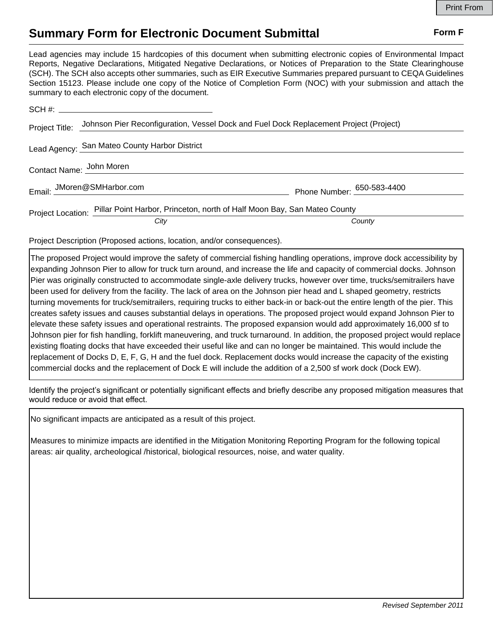## **Summary Form for Electronic Document Submittal Form F Form F**

Lead agencies may include 15 hardcopies of this document when submitting electronic copies of Environmental Impact Reports, Negative Declarations, Mitigated Negative Declarations, or Notices of Preparation to the State Clearinghouse (SCH). The SCH also accepts other summaries, such as EIR Executive Summaries prepared pursuant to CEQA Guidelines Section 15123. Please include one copy of the Notice of Completion Form (NOC) with your submission and attach the summary to each electronic copy of the document.

| Project Title:           | Johnson Pier Reconfiguration, Vessel Dock and Fuel Dock Replacement Project (Project)      |                            |
|--------------------------|--------------------------------------------------------------------------------------------|----------------------------|
|                          | Lead Agency: San Mateo County Harbor District                                              |                            |
| Contact Name: John Moren |                                                                                            |                            |
|                          | Email: JMoren@SMHarbor.com                                                                 | Phone Number: 650-583-4400 |
|                          | Project Location: Pillar Point Harbor, Princeton, north of Half Moon Bay, San Mateo County |                            |
|                          | City                                                                                       | County                     |

Project Description (Proposed actions, location, and/or consequences).

The proposed Project would improve the safety of commercial fishing handling operations, improve dock accessibility by expanding Johnson Pier to allow for truck turn around, and increase the life and capacity of commercial docks. Johnson Pier was originally constructed to accommodate single-axle delivery trucks, however over time, trucks/semitrailers have been used for delivery from the facility. The lack of area on the Johnson pier head and L shaped geometry, restricts turning movements for truck/semitrailers, requiring trucks to either back-in or back-out the entire length of the pier. This creates safety issues and causes substantial delays in operations. The proposed project would expand Johnson Pier to elevate these safety issues and operational restraints. The proposed expansion would add approximately 16,000 sf to Johnson pier for fish handling, forklift maneuvering, and truck turnaround. In addition, the proposed project would replace existing floating docks that have exceeded their useful like and can no longer be maintained. This would include the replacement of Docks D, E, F, G, H and the fuel dock. Replacement docks would increase the capacity of the existing commercial docks and the replacement of Dock E will include the addition of a 2,500 sf work dock (Dock EW).

Identify the project's significant or potentially significant effects and briefly describe any proposed mitigation measures that would reduce or avoid that effect.

No significant impacts are anticipated as a result of this project.

Measures to minimize impacts are identified in the Mitigation Monitoring Reporting Program for the following topical areas: air quality, archeological /historical, biological resources, noise, and water quality.